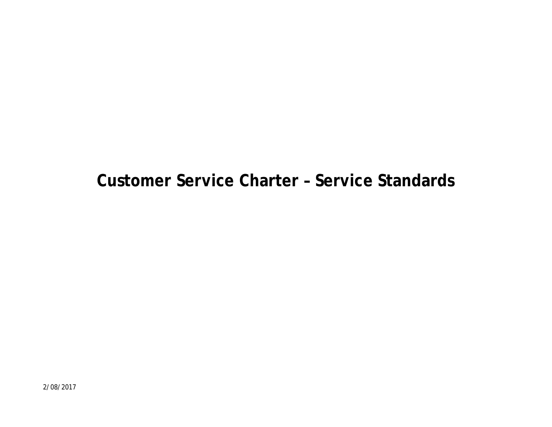# **Customer Service Charter – Service Standards**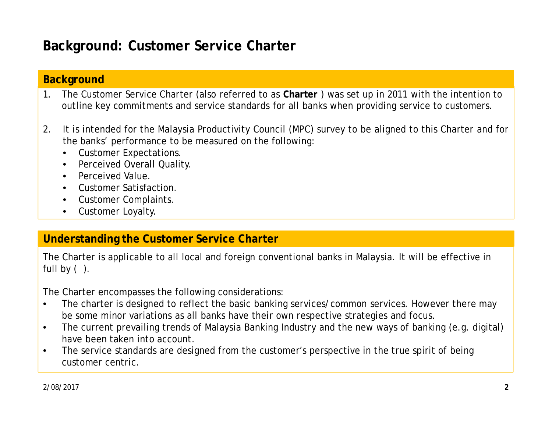# **Background: Customer Service Charter**

#### **Background**

- 1. The Customer Service Charter (also referred to as **Charter** ) was set up in 2011 with the intention to outline key commitments and service standards for all banks when providing service to customers.
- 2. It is intended for the Malaysia Productivity Council (MPC) survey to be aligned to this Charter and for the banks' performance to be measured on the following:
	- Customer Expectations.
	- Perceived Overall Quality.
	- Perceived Value.
	- Customer Satisfaction.
	- Customer Complaints.
	- Customer Loyalty.

#### **Understanding the Customer Service Charter**

The Charter is applicable to all local and foreign conventional banks in Malaysia. It will be effective in full by  $( )$ .

The Charter encompasses the following considerations:

- The charter is designed to reflect the basic banking services/common services. However there may be some minor variations as all banks have their own respective strategies and focus.
- The current prevailing trends of Malaysia Banking Industry and the new ways of banking (e.g. digital) have been taken into account.
- The service standards are designed from the customer's perspective in the true spirit of being customer centric.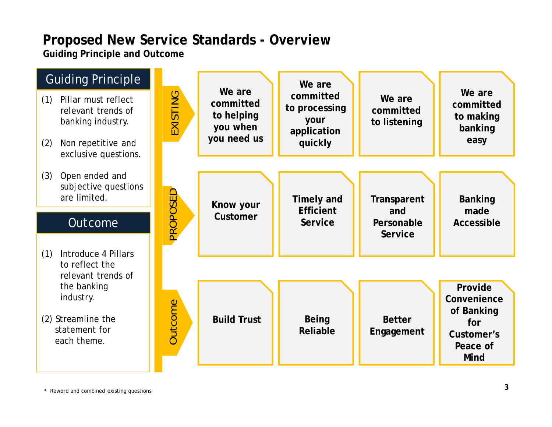# **Proposed New Service Standards - Overview**

**Guiding Principle and Outcome**



\* Reword and combined existing questions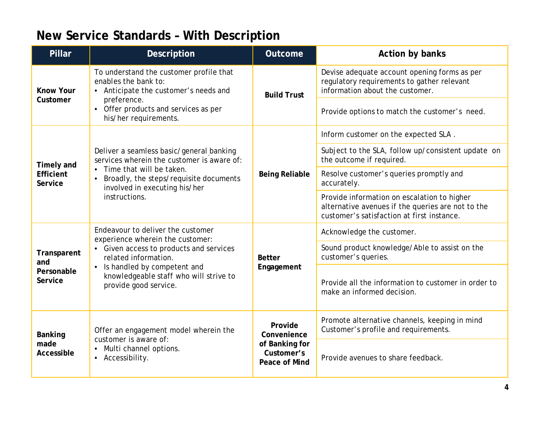### **New Service Standards – With Description**

| Pillar                                      | Description                                                                                                                   | Outcome                                       | Action by banks                                                                                                                                |
|---------------------------------------------|-------------------------------------------------------------------------------------------------------------------------------|-----------------------------------------------|------------------------------------------------------------------------------------------------------------------------------------------------|
| Know Your                                   | To understand the customer profile that<br>enables the bank to:<br>• Anticipate the customer's needs and                      | <b>Build Trust</b>                            | Devise adequate account opening forms as per<br>regulatory requirements to gather relevant<br>information about the customer.                  |
| Customer                                    | preference.<br>• Offer products and services as per<br>his/her requirements.                                                  |                                               | Provide options to match the customer's need.                                                                                                  |
|                                             |                                                                                                                               | Being Reliable                                | Inform customer on the expected SLA.                                                                                                           |
| Timely and                                  | Deliver a seamless basic/general banking<br>services wherein the customer is aware of:                                        |                                               | Subject to the SLA, follow up/consistent update on<br>the outcome if required.                                                                 |
| Efficient<br>Service                        | Time that will be taken.<br>$\bullet$<br>Broadly, the steps/requisite documents<br>$\bullet$<br>involved in executing his/her |                                               | Resolve customer's queries promptly and<br>accurately.                                                                                         |
|                                             | instructions.                                                                                                                 |                                               | Provide information on escalation to higher<br>alternative avenues if the queries are not to the<br>customer's satisfaction at first instance. |
| Transparent<br>and<br>Personable<br>Service | Endeavour to deliver the customer<br>experience wherein the customer:                                                         | <b>Better</b><br>Engagement                   | Acknowledge the customer.                                                                                                                      |
|                                             | • Given access to products and services<br>related information.                                                               |                                               | Sound product knowledge/Able to assist on the<br>customer's queries.                                                                           |
|                                             | Is handled by competent and<br>$\bullet$<br>knowledgeable staff who will strive to<br>provide good service.                   |                                               | Provide all the information to customer in order to<br>make an informed decision.                                                              |
| Banking                                     | Offer an engagement model wherein the<br>customer is aware of:                                                                | Provide<br>Convenience                        | Promote alternative channels, keeping in mind<br>Customer's profile and requirements.                                                          |
| made<br>Accessible                          | Multi channel options.<br>$\bullet$<br>• Accessibility.                                                                       | of Banking for<br>Customer's<br>Peace of Mind | Provide avenues to share feedback.                                                                                                             |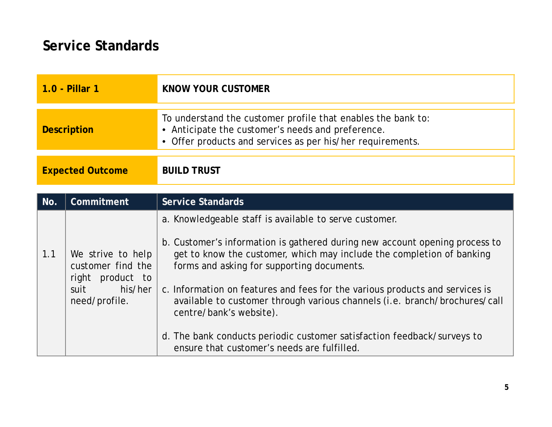| 1.0 - Pillar 1          | KNOW YOUR CUSTOMER                                                                                                                                                              |
|-------------------------|---------------------------------------------------------------------------------------------------------------------------------------------------------------------------------|
| Description             | To understand the customer profile that enables the bank to:<br>• Anticipate the customer's needs and preference.<br>• Offer products and services as per his/her requirements. |
| <b>Expected Outcome</b> | <b>BUILD TRUST</b>                                                                                                                                                              |

| a. Knowledgeable staff is available to serve customer.                                                                                                                                                                                                                          | No. | Commitment        | Service Standards                                                                                                                                                                                                                                                                                                  |
|---------------------------------------------------------------------------------------------------------------------------------------------------------------------------------------------------------------------------------------------------------------------------------|-----|-------------------|--------------------------------------------------------------------------------------------------------------------------------------------------------------------------------------------------------------------------------------------------------------------------------------------------------------------|
| customer find the<br>forms and asking for supporting documents.<br>right<br>product to<br>his/her<br>suit<br>need/profile.<br>centre/bank's website).<br>d. The bank conducts periodic customer satisfaction feedback/surveys to<br>ensure that customer's needs are fulfilled. | 1.1 | We strive to help | b. Customer's information is gathered during new account opening process to<br>get to know the customer, which may include the completion of banking<br>c. Information on features and fees for the various products and services is<br>available to customer through various channels (i.e. branch/brochures/call |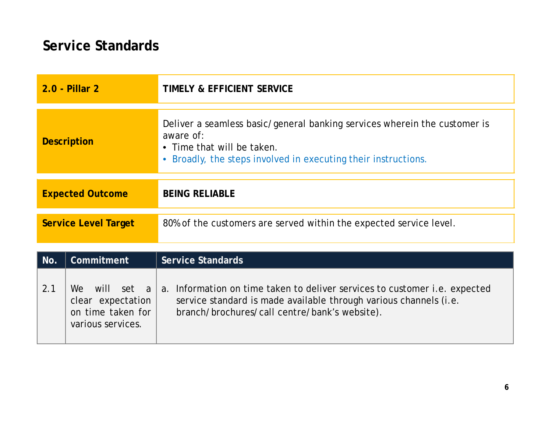|                             | 2.0 - Pillar 2                                                                    | TIMELY & EFFICIENT SERVICE                                                                                                                                                                       |
|-----------------------------|-----------------------------------------------------------------------------------|--------------------------------------------------------------------------------------------------------------------------------------------------------------------------------------------------|
| <b>Description</b>          |                                                                                   | Deliver a seamless basic/general banking services wherein the customer is<br>aware of:<br>• Time that will be taken.<br>Broadly, the steps involved in executing their instructions.             |
| <b>Expected Outcome</b>     |                                                                                   | <b>BEING RELIABLE</b>                                                                                                                                                                            |
| <b>Service Level Target</b> |                                                                                   | 80% of the customers are served within the expected service level.                                                                                                                               |
| No.                         | Commitment                                                                        | <b>Service Standards</b>                                                                                                                                                                         |
| 2.1                         | will set a<br>We l<br>clear expectation<br>on time taken for<br>various services. | a. Information on time taken to deliver services to customer i.e. expected<br>service standard is made available through various channels (i.e.<br>branch/brochures/call centre/bank's website). |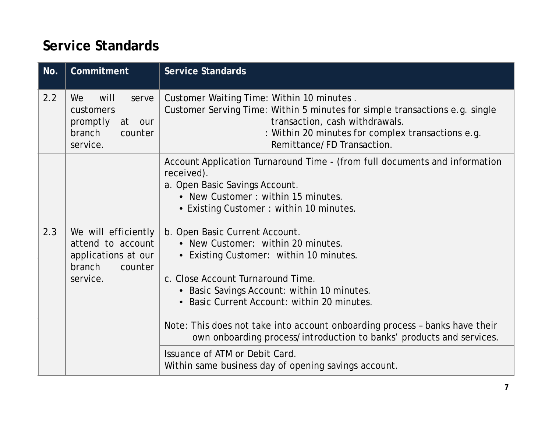| will<br>We<br>serve<br>customers<br>promptly<br>at our<br>branch<br>counter<br>service.          | Customer Waiting Time: Within 10 minutes.<br>Customer Serving Time: Within 5 minutes for simple transactions e.g. single<br>transaction, cash withdrawals.<br>: Within 20 minutes for complex transactions e.g.<br>Remittance/FD Transaction.                                                                                                                                                                                                                                                     |
|--------------------------------------------------------------------------------------------------|---------------------------------------------------------------------------------------------------------------------------------------------------------------------------------------------------------------------------------------------------------------------------------------------------------------------------------------------------------------------------------------------------------------------------------------------------------------------------------------------------|
|                                                                                                  |                                                                                                                                                                                                                                                                                                                                                                                                                                                                                                   |
|                                                                                                  | Account Application Turnaround Time - (from full documents and information<br>received).<br>a. Open Basic Savings Account.<br>• New Customer: within 15 minutes.<br>• Existing Customer: within 10 minutes.                                                                                                                                                                                                                                                                                       |
| We will efficiently<br>attend to account<br>applications at our<br>branch<br>counter<br>service. | b. Open Basic Current Account.<br>• New Customer: within 20 minutes.<br>• Existing Customer: within 10 minutes.<br>c. Close Account Turnaround Time.<br>• Basic Savings Account: within 10 minutes.<br>Basic Current Account: within 20 minutes.<br>Note: This does not take into account onboarding process - banks have their<br>own onboarding process/introduction to banks' products and services.<br>Issuance of ATM or Debit Card.<br>Within same business day of opening savings account. |
|                                                                                                  |                                                                                                                                                                                                                                                                                                                                                                                                                                                                                                   |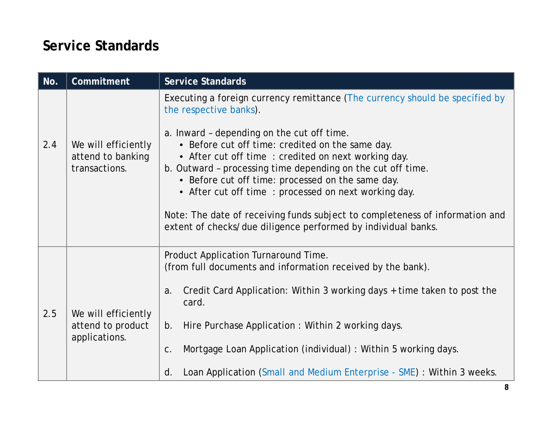| No. | Commitment                                                | Service Standards                                                                                                                                                                                                                                                                                                              |
|-----|-----------------------------------------------------------|--------------------------------------------------------------------------------------------------------------------------------------------------------------------------------------------------------------------------------------------------------------------------------------------------------------------------------|
| 2.4 | We will efficiently<br>attend to banking<br>transactions. | Executing a foreign currency remittance (The currency should be specified by<br>the respective banks).<br>a. Inward - depending on the cut off time.<br>• Before cut off time: credited on the same day.<br>• After cut off time: credited on next working day.<br>b. Outward - processing time depending on the cut off time. |
|     |                                                           | • Before cut off time: processed on the same day.                                                                                                                                                                                                                                                                              |
|     |                                                           | • After cut off time: processed on next working day.                                                                                                                                                                                                                                                                           |
|     |                                                           | Note: The date of receiving funds subject to completeness of information and<br>extent of checks/due diligence performed by individual banks.                                                                                                                                                                                  |
|     |                                                           | Product Application Turnaround Time.<br>(from full documents and information received by the bank).                                                                                                                                                                                                                            |
| 2.5 | We will efficiently<br>attend to product<br>applications. | Credit Card Application: Within 3 working days + time taken to post the<br>a.<br>card.                                                                                                                                                                                                                                         |
|     |                                                           | Hire Purchase Application: Within 2 working days.<br>b <sub>1</sub>                                                                                                                                                                                                                                                            |
|     |                                                           | Mortgage Loan Application (individual) : Within 5 working days.<br>C.                                                                                                                                                                                                                                                          |
|     |                                                           | Loan Application (Small and Medium Enterprise - SME) : Within 3 weeks.<br>d.                                                                                                                                                                                                                                                   |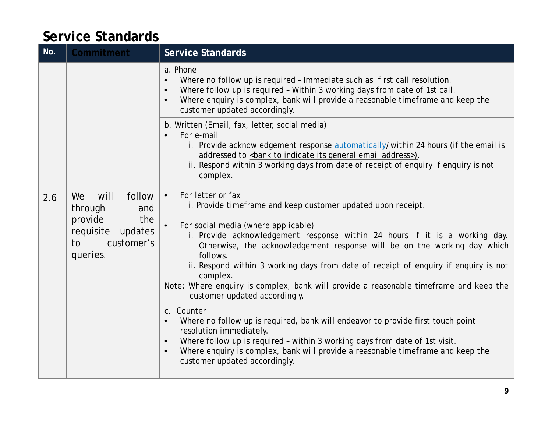| No. | Commitment                                                                                                       | Service Standards                                                                                                                                                                                                                                                                                                                                                                                                                                                                                                                                      |
|-----|------------------------------------------------------------------------------------------------------------------|--------------------------------------------------------------------------------------------------------------------------------------------------------------------------------------------------------------------------------------------------------------------------------------------------------------------------------------------------------------------------------------------------------------------------------------------------------------------------------------------------------------------------------------------------------|
|     |                                                                                                                  | a. Phone<br>Where no follow up is required - Immediate such as first call resolution.<br>$\bullet$<br>Where follow up is required - Within 3 working days from date of 1st call.<br>$\bullet$<br>Where enquiry is complex, bank will provide a reasonable timeframe and keep the<br>$\bullet$<br>customer updated accordingly.                                                                                                                                                                                                                         |
|     |                                                                                                                  | b. Written (Email, fax, letter, social media)<br>For e-mail<br>i. Provide acknowledgement response automatically/within 24 hours (if the email is<br>addressed to<br>bank to indicate its general email address>).<br>ii. Respond within 3 working days from date of receipt of enquiry if enquiry is not<br>complex.                                                                                                                                                                                                                                  |
| 2.6 | follow<br>We<br>will<br>through<br>and<br>provide<br>the<br>requisite<br>updates<br>customer's<br>to<br>queries. | For letter or fax<br>$\bullet$<br>i. Provide timeframe and keep customer updated upon receipt.<br>For social media (where applicable)<br>$\bullet$<br>i. Provide acknowledgement response within 24 hours if it is a working day.<br>Otherwise, the acknowledgement response will be on the working day which<br>follows.<br>ii. Respond within 3 working days from date of receipt of enquiry if enquiry is not<br>complex.<br>Note: Where enquiry is complex, bank will provide a reasonable timeframe and keep the<br>customer updated accordingly. |
|     |                                                                                                                  | c. Counter<br>Where no follow up is required, bank will endeavor to provide first touch point<br>$\bullet$<br>resolution immediately.<br>Where follow up is required - within 3 working days from date of 1st visit.<br>$\bullet$<br>Where enquiry is complex, bank will provide a reasonable timeframe and keep the<br>$\bullet$<br>customer updated accordingly.                                                                                                                                                                                     |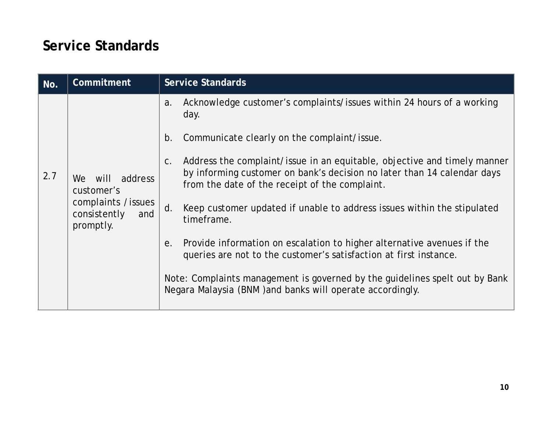| No. | Commitment                                                                                  | Service Standards                                                                                                                                                                                              |
|-----|---------------------------------------------------------------------------------------------|----------------------------------------------------------------------------------------------------------------------------------------------------------------------------------------------------------------|
|     |                                                                                             | Acknowledge customer's complaints/issues within 24 hours of a working<br>a.<br>day.                                                                                                                            |
| 2.7 | We will<br>address<br>customer's<br>complaints / issues<br>consistently<br>and<br>promptly. | Communicate clearly on the complaint/issue.<br>b.                                                                                                                                                              |
|     |                                                                                             | Address the complaint/issue in an equitable, objective and timely manner<br>$C$ .<br>by informing customer on bank's decision no later than 14 calendar days<br>from the date of the receipt of the complaint. |
|     |                                                                                             | d.<br>Keep customer updated if unable to address issues within the stipulated<br>timeframe.                                                                                                                    |
|     |                                                                                             | Provide information on escalation to higher alternative avenues if the<br>е.<br>queries are not to the customer's satisfaction at first instance.                                                              |
|     |                                                                                             | Note: Complaints management is governed by the guidelines spelt out by Bank<br>Negara Malaysia (BNM) and banks will operate accordingly.                                                                       |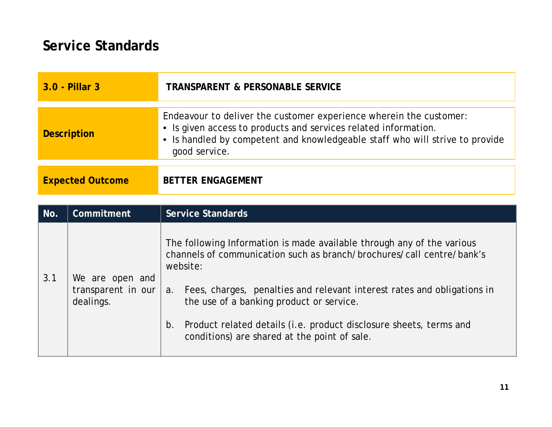| 3.0 - Pillar 3          | TRANSPARENT & PERSONABLE SERVICE                                                                                                                                                                                                       |
|-------------------------|----------------------------------------------------------------------------------------------------------------------------------------------------------------------------------------------------------------------------------------|
| Description             | Endeavour to deliver the customer experience wherein the customer:<br>• Is given access to products and services related information.<br>• Is handled by competent and knowledgeable staff who will strive to provide<br>good service. |
| <b>Expected Outcome</b> | <b>BETTER ENGAGEMENT</b>                                                                                                                                                                                                               |

| No. | Commitment                                         | Service Standards                                                                                                                                                                                                                                                                                                                                                                                                 |
|-----|----------------------------------------------------|-------------------------------------------------------------------------------------------------------------------------------------------------------------------------------------------------------------------------------------------------------------------------------------------------------------------------------------------------------------------------------------------------------------------|
| 3.1 | We are open and<br>transparent in our<br>dealings. | The following Information is made available through any of the various<br>channels of communication such as branch/brochures/call centre/bank's<br>website:<br>a. Fees, charges, penalties and relevant interest rates and obligations in<br>the use of a banking product or service.<br>Product related details (i.e. product disclosure sheets, terms and<br>b.<br>conditions) are shared at the point of sale. |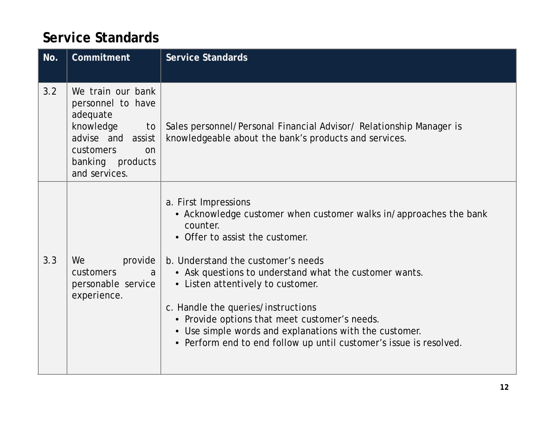| No. | Commitment                                                                                                                                         | Service Standards                                                                                                                                                                                                                                                                                                                                                                                                                                                                                  |
|-----|----------------------------------------------------------------------------------------------------------------------------------------------------|----------------------------------------------------------------------------------------------------------------------------------------------------------------------------------------------------------------------------------------------------------------------------------------------------------------------------------------------------------------------------------------------------------------------------------------------------------------------------------------------------|
| 3.2 | We train our bank<br>personnel to have<br>adequate<br>knowledge<br>to<br>advise and assist<br>customers<br>on<br>banking products<br>and services. | Sales personnel/Personal Financial Advisor/ Relationship Manager is<br>knowledgeable about the bank's products and services.                                                                                                                                                                                                                                                                                                                                                                       |
| 3.3 | We<br>provide<br>customers<br>a<br>personable service<br>experience.                                                                               | a. First Impressions<br>• Acknowledge customer when customer walks in/approaches the bank<br>counter.<br>Offer to assist the customer.<br>b. Understand the customer's needs<br>• Ask questions to understand what the customer wants.<br>• Listen attentively to customer.<br>c. Handle the queries/instructions<br>• Provide options that meet customer's needs.<br>• Use simple words and explanations with the customer.<br>• Perform end to end follow up until customer's issue is resolved. |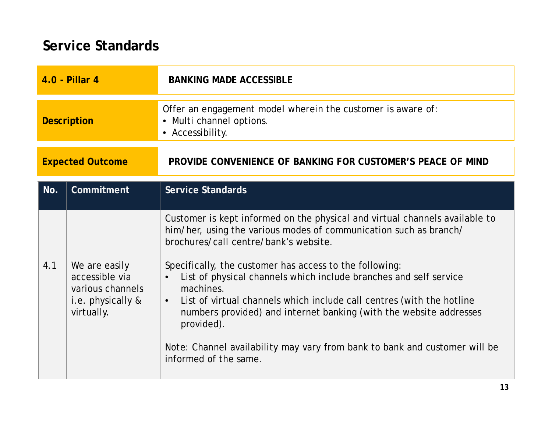| 4.0 - Pillar 4          |                                                                                        | <b>BANKING MADE ACCESSIBLE</b>                                                                                                                                                                                                                                                                                                                                                                                                                                                                                                                                                                                                       |
|-------------------------|----------------------------------------------------------------------------------------|--------------------------------------------------------------------------------------------------------------------------------------------------------------------------------------------------------------------------------------------------------------------------------------------------------------------------------------------------------------------------------------------------------------------------------------------------------------------------------------------------------------------------------------------------------------------------------------------------------------------------------------|
| <b>Description</b>      |                                                                                        | Offer an engagement model wherein the customer is aware of:<br>• Multi channel options.<br>• Accessibility.                                                                                                                                                                                                                                                                                                                                                                                                                                                                                                                          |
| <b>Expected Outcome</b> |                                                                                        | PROVIDE CONVENIENCE OF BANKING FOR CUSTOMER'S PEACE OF MIND                                                                                                                                                                                                                                                                                                                                                                                                                                                                                                                                                                          |
| No.                     | Commitment                                                                             | Service Standards                                                                                                                                                                                                                                                                                                                                                                                                                                                                                                                                                                                                                    |
| 4.1                     | We are easily<br>accessible via<br>various channels<br>i.e. physically &<br>virtually. | Customer is kept informed on the physical and virtual channels available to<br>him/her, using the various modes of communication such as branch/<br>brochures/call centre/bank's website.<br>Specifically, the customer has access to the following:<br>List of physical channels which include branches and self service<br>$\bullet$<br>machines.<br>List of virtual channels which include call centres (with the hotline<br>$\bullet$<br>numbers provided) and internet banking (with the website addresses<br>provided).<br>Note: Channel availability may vary from bank to bank and customer will be<br>informed of the same. |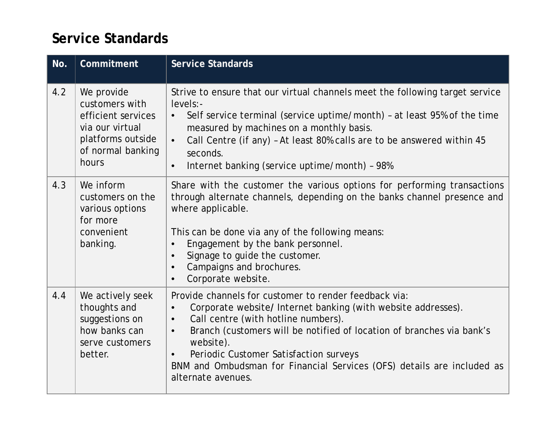| No. | Commitment                                                                                                               | Service Standards                                                                                                                                                                                                                                                                                                                                                                                                                                 |
|-----|--------------------------------------------------------------------------------------------------------------------------|---------------------------------------------------------------------------------------------------------------------------------------------------------------------------------------------------------------------------------------------------------------------------------------------------------------------------------------------------------------------------------------------------------------------------------------------------|
| 4.2 | We provide<br>customers with<br>efficient services<br>via our virtual<br>platforms outside<br>of normal banking<br>hours | Strive to ensure that our virtual channels meet the following target service<br>levels:-<br>Self service terminal (service uptime/month) - at least 95% of the time<br>$\bullet$<br>measured by machines on a monthly basis.<br>Call Centre (if any) - At least 80% calls are to be answered within 45<br>$\bullet$<br>seconds.<br>Internet banking (service uptime/month) - 98%<br>$\bullet$                                                     |
| 4.3 | We inform<br>customers on the<br>various options<br>for more<br>convenient<br>banking.                                   | Share with the customer the various options for performing transactions<br>through alternate channels, depending on the banks channel presence and<br>where applicable.<br>This can be done via any of the following means:<br>Engagement by the bank personnel.<br>$\bullet$<br>Signage to guide the customer.<br>$\bullet$<br>Campaigns and brochures.<br>$\bullet$<br>Corporate website.<br>$\bullet$                                          |
| 4.4 | We actively seek<br>thoughts and<br>suggestions on<br>how banks can<br>serve customers<br>better.                        | Provide channels for customer to render feedback via:<br>Corporate website/ Internet banking (with website addresses).<br>$\bullet$<br>Call centre (with hotline numbers).<br>$\bullet$<br>Branch (customers will be notified of location of branches via bank's<br>$\bullet$<br>website).<br>Periodic Customer Satisfaction surveys<br>$\bullet$<br>BNM and Ombudsman for Financial Services (OFS) details are included as<br>alternate avenues. |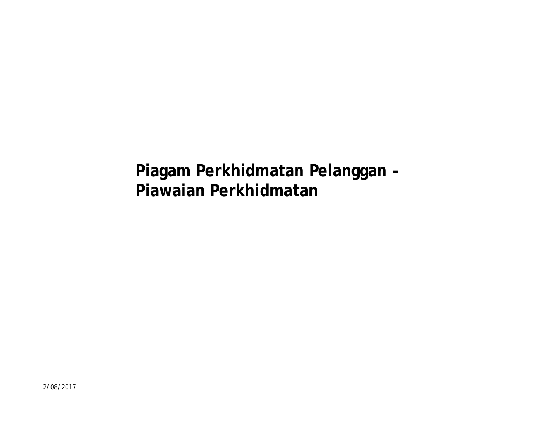**Piagam Perkhidmatan Pelanggan – Piawaian Perkhidmatan**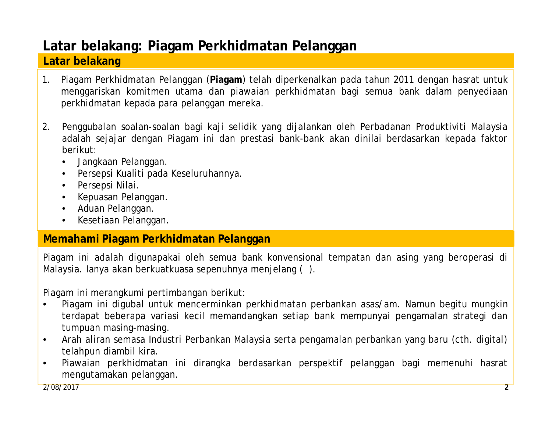# **Latar belakang: Piagam Perkhidmatan Pelanggan**

#### **Latar belakang**

- 1. Piagam Perkhidmatan Pelanggan (**Piagam**) telah diperkenalkan pada tahun 2011 dengan hasrat untuk menggariskan komitmen utama dan piawaian perkhidmatan bagi semua bank dalam penyediaan perkhidmatan kepada para pelanggan mereka.
- 2. Penggubalan soalan-soalan bagi kaji selidik yang dijalankan oleh Perbadanan Produktiviti Malaysia adalah sejajar dengan Piagam ini dan prestasi bank-bank akan dinilai berdasarkan kepada faktor berikut:
	- Jangkaan Pelanggan.
	- Persepsi Kualiti pada Keseluruhannya.
	- Persepsi Nilai.
	- Kepuasan Pelanggan.
	- Aduan Pelanggan.
	- Kesetiaan Pelanggan.

#### **Memahami Piagam Perkhidmatan Pelanggan**

Piagam ini adalah digunapakai oleh semua bank konvensional tempatan dan asing yang beroperasi di Malaysia. Ianya akan berkuatkuasa sepenuhnya menjelang ( ).

Piagam ini merangkumi pertimbangan berikut:

- Piagam ini digubal untuk mencerminkan perkhidmatan perbankan asas/am. Namun begitu mungkin terdapat beberapa variasi kecil memandangkan setiap bank mempunyai pengamalan strategi dan tumpuan masing-masing.
- Arah aliran semasa Industri Perbankan Malaysia serta pengamalan perbankan yang baru (cth. digital) telahpun diambil kira.
- Piawaian perkhidmatan ini dirangka berdasarkan perspektif pelanggan bagi memenuhi hasrat mengutamakan pelanggan.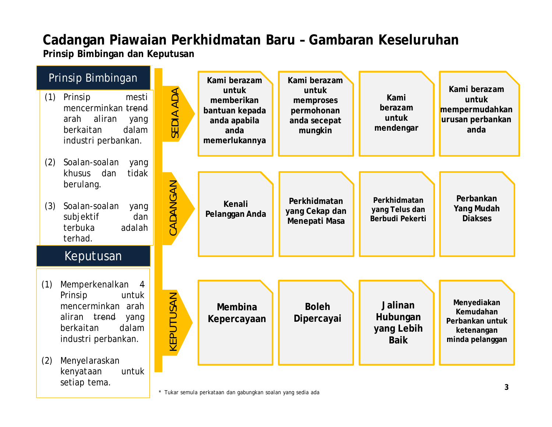# **Cadangan Piawaian Perkhidmatan Baru – Gambaran Keseluruhan**

**Prinsip Bimbingan dan Keputusan**

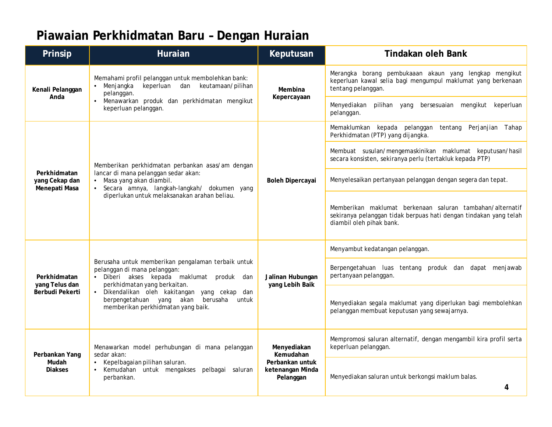# **Piawaian Perkhidmatan Baru – Dengan Huraian**

| Prinsip                                         | Huraian                                                                                                                                                            | Keputusan                                        | Tindakan oleh Bank                                                                                                                                         |
|-------------------------------------------------|--------------------------------------------------------------------------------------------------------------------------------------------------------------------|--------------------------------------------------|------------------------------------------------------------------------------------------------------------------------------------------------------------|
| Kenali Pelanggan                                | Memahami profil pelanggan untuk membolehkan bank:<br>keperluan dan<br>Menjangka<br>keutamaan/pilihan<br>$\bullet$<br>pelanggan.                                    | Membina<br>Kepercayaan                           | Merangka borang pembukaaan akaun yang lengkap mengikut<br>keperluan kawal selia bagi mengumpul maklumat yang berkenaan<br>tentang pelanggan.               |
| Anda                                            | Menawarkan produk dan perkhidmatan mengikut<br>keperluan pelanggan.                                                                                                |                                                  | Menyediakan<br>pilihan yang<br>bersesuaian<br>mengikut keperluan<br>pelanggan.                                                                             |
|                                                 |                                                                                                                                                                    |                                                  | Memaklumkan kepada pelanggan<br>tentang Perjanjian Tahap<br>Perkhidmatan (PTP) yang dijangka.                                                              |
|                                                 | Memberikan perkhidmatan perbankan asas/am dengan                                                                                                                   | Boleh Dipercayai                                 | Membuat susulan/mengemaskinikan maklumat keputusan/hasil<br>secara konsisten, sekiranya perlu (tertakluk kepada PTP)                                       |
| Perkhidmatan<br>yang Cekap dan<br>Menepati Masa | lancar di mana pelanggan sedar akan:<br>• Masa yang akan diambil.<br>Secara amnya, langkah-langkah/ dokumen yang<br>$\bullet$                                      |                                                  | Menyelesaikan pertanyaan pelanggan dengan segera dan tepat.                                                                                                |
|                                                 | diperlukan untuk melaksanakan arahan beliau.                                                                                                                       |                                                  | Memberikan maklumat berkenaan saluran tambahan/alternatif<br>sekiranya pelanggan tidak berpuas hati dengan tindakan yang telah<br>diambil oleh pihak bank. |
|                                                 |                                                                                                                                                                    | Jalinan Hubungan<br>yang Lebih Baik              | Menyambut kedatangan pelanggan.                                                                                                                            |
| Perkhidmatan                                    | Berusaha untuk memberikan pengalaman terbaik untuk<br>pelanggan di mana pelanggan:<br>· Diberi akses kepada maklumat produk<br>dan<br>perkhidmatan yang berkaitan. |                                                  | Berpengetahuan luas tentang produk dan dapat menjawab<br>pertanyaan pelanggan.                                                                             |
| yang Telus dan<br>Berbudi Pekerti               | · Dikendalikan oleh kakitangan yang cekap<br>dan<br>berpengetahuan yang akan<br>berusaha<br>untuk<br>memberikan perkhidmatan yang baik.                            |                                                  | Menyediakan segala maklumat yang diperlukan bagi membolehkan<br>pelanggan membuat keputusan yang sewajarnya.                                               |
| Perbankan Yang                                  | Menawarkan model perhubungan di mana pelanggan<br>sedar akan:                                                                                                      | Menyediakan<br>Kemudahan                         | Mempromosi saluran alternatif, dengan mengambil kira profil serta<br>keperluan pelanggan.                                                                  |
| Mudah<br><b>Diakses</b>                         | Kepelbagaian pilihan saluran.<br>$\bullet$<br>Kemudahan untuk mengakses<br>pelbagai saluran<br>perbankan.                                                          | Perbankan untuk<br>ketenangan Minda<br>Pelanggan | Menyediakan saluran untuk berkongsi maklum balas.<br>4                                                                                                     |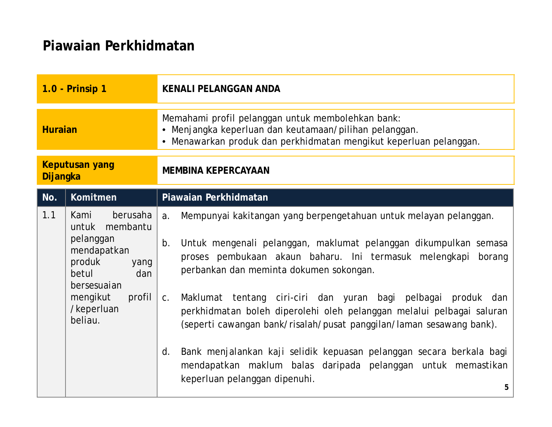| 1.0 - Prinsip 1            |                                                                                                                                                                | KENALI PELANGGAN ANDA                                                                                                                                                                                                                                                                                                                                                 |
|----------------------------|----------------------------------------------------------------------------------------------------------------------------------------------------------------|-----------------------------------------------------------------------------------------------------------------------------------------------------------------------------------------------------------------------------------------------------------------------------------------------------------------------------------------------------------------------|
| <b>Huraian</b>             |                                                                                                                                                                | Memahami profil pelanggan untuk membolehkan bank:<br>Menjangka keperluan dan keutamaan/pilihan pelanggan.<br>Menawarkan produk dan perkhidmatan mengikut keperluan pelanggan.                                                                                                                                                                                         |
| Keputusan yang<br>Dijangka |                                                                                                                                                                | MEMBINA KEPERCAYAAN                                                                                                                                                                                                                                                                                                                                                   |
| No.                        | Komitmen                                                                                                                                                       | Piawaian Perkhidmatan                                                                                                                                                                                                                                                                                                                                                 |
| 1.1                        | berusaha<br>Kami<br>untuk membantu<br>pelanggan<br>mendapatkan<br>produk<br>yang<br>betul<br>dan<br>bersesuaian<br>mengikut<br>profil<br>/keperluan<br>beliau. | Mempunyai kakitangan yang berpengetahuan untuk melayan pelanggan.<br>a <sub>r</sub><br>Untuk mengenali pelanggan, maklumat pelanggan dikumpulkan semasa<br>$b$ .<br>proses pembukaan akaun baharu. Ini termasuk melengkapi<br>borang<br>perbankan dan meminta dokumen sokongan.<br>Maklumat tentang ciri-ciri dan yuran bagi pelbagai produk<br>C <sub>1</sub><br>dan |
|                            |                                                                                                                                                                | perkhidmatan boleh diperolehi oleh pelanggan melalui pelbagai saluran<br>(seperti cawangan bank/risalah/pusat panggilan/laman sesawang bank).<br>Bank menjalankan kaji selidik kepuasan pelanggan secara berkala bagi<br>d.<br>mendapatkan maklum balas daripada pelanggan untuk memastikan                                                                           |
|                            |                                                                                                                                                                | keperluan pelanggan dipenuhi.<br>5                                                                                                                                                                                                                                                                                                                                    |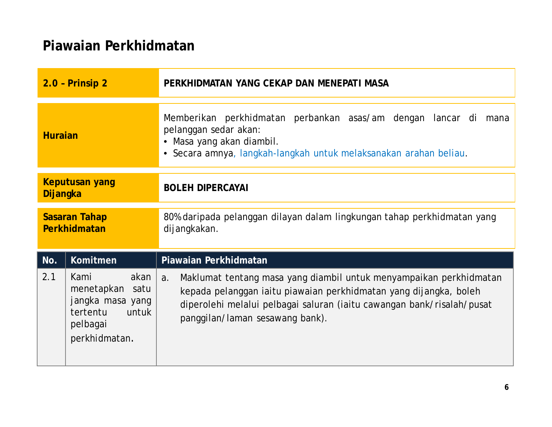| $2.0$ - Prinsip $2$           |                                                                                                       | PERKHIDMATAN YANG CEKAP DAN MENEPATI MASA                                                                                                                                                                                                                  |
|-------------------------------|-------------------------------------------------------------------------------------------------------|------------------------------------------------------------------------------------------------------------------------------------------------------------------------------------------------------------------------------------------------------------|
| <b>Huraian</b>                |                                                                                                       | Memberikan perkhidmatan perbankan asas/am dengan lancar di<br>mana<br>pelanggan sedar akan:<br>Masa yang akan diambil.<br>· Secara amnya, langkah-langkah untuk melaksanakan arahan beliau.                                                                |
| Keputusan yang<br>Dijangka    |                                                                                                       | <b>BOLEH DIPERCAYAI</b>                                                                                                                                                                                                                                    |
| Sasaran Tahap<br>Perkhidmatan |                                                                                                       | 80% daripada pelanggan dilayan dalam lingkungan tahap perkhidmatan yang<br>dijangkakan.                                                                                                                                                                    |
| No.                           | Komitmen                                                                                              | Piawaian Perkhidmatan                                                                                                                                                                                                                                      |
| 2.1                           | akan<br>Kami<br>menetapkan satu<br>jangka masa yang<br>tertentu<br>untuk<br>pelbagai<br>perkhidmatan. | Maklumat tentang masa yang diambil untuk menyampaikan perkhidmatan<br>a.<br>kepada pelanggan iaitu piawaian perkhidmatan yang dijangka, boleh<br>diperolehi melalui pelbagai saluran (iaitu cawangan bank/risalah/pusat<br>panggilan/laman sesawang bank). |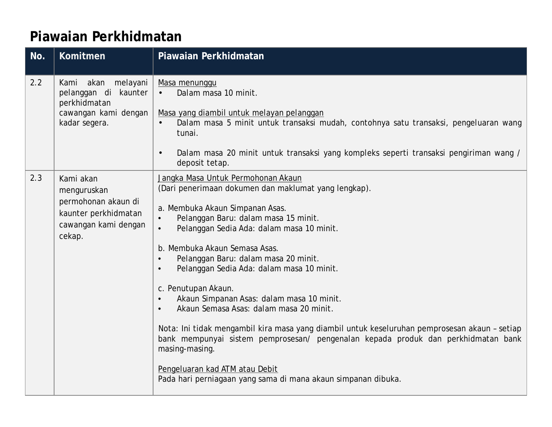| No. | Komitmen                                                                                                  | Piawaian Perkhidmatan                                                                                                                                                                                                                                                                                                                                                                                                                                                                                                                                                                                                                                                                                                                                                                                                                            |
|-----|-----------------------------------------------------------------------------------------------------------|--------------------------------------------------------------------------------------------------------------------------------------------------------------------------------------------------------------------------------------------------------------------------------------------------------------------------------------------------------------------------------------------------------------------------------------------------------------------------------------------------------------------------------------------------------------------------------------------------------------------------------------------------------------------------------------------------------------------------------------------------------------------------------------------------------------------------------------------------|
| 2.2 | akan melayani<br>Kami<br>pelanggan di kaunter<br>perkhidmatan<br>cawangan kami dengan<br>kadar segera.    | Masa menunggu<br>Dalam masa 10 minit.<br>$\mathbf{r}$<br>Masa yang diambil untuk melayan pelanggan<br>Dalam masa 5 minit untuk transaksi mudah, contohnya satu transaksi, pengeluaran wang<br>tunai.<br>Dalam masa 20 minit untuk transaksi yang kompleks seperti transaksi pengiriman wang /<br>٠<br>deposit tetap.                                                                                                                                                                                                                                                                                                                                                                                                                                                                                                                             |
| 2.3 | Kami akan<br>menguruskan<br>permohonan akaun di<br>kaunter perkhidmatan<br>cawangan kami dengan<br>cekap. | Jangka Masa Untuk Permohonan Akaun<br>(Dari penerimaan dokumen dan maklumat yang lengkap).<br>a. Membuka Akaun Simpanan Asas.<br>Pelanggan Baru: dalam masa 15 minit.<br>$\bullet$<br>Pelanggan Sedia Ada: dalam masa 10 minit.<br>$\bullet$<br>b. Membuka Akaun Semasa Asas.<br>Pelanggan Baru: dalam masa 20 minit.<br>$\bullet$<br>Pelanggan Sedia Ada: dalam masa 10 minit.<br>$\bullet$<br>c. Penutupan Akaun.<br>Akaun Simpanan Asas: dalam masa 10 minit.<br>$\bullet$<br>Akaun Semasa Asas: dalam masa 20 minit.<br>$\bullet$<br>Nota: Ini tidak mengambil kira masa yang diambil untuk keseluruhan pemprosesan akaun - setiap<br>bank mempunyai sistem pemprosesan/ pengenalan kepada produk dan perkhidmatan bank<br>masing-masing.<br>Pengeluaran kad ATM atau Debit<br>Pada hari perniagaan yang sama di mana akaun simpanan dibuka. |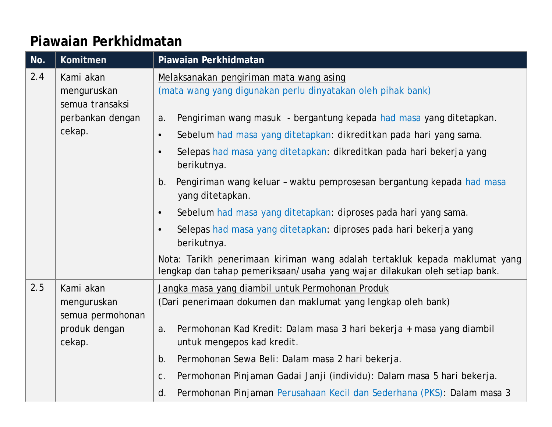| No. | Komitmen                                                                  | Piawaian Perkhidmatan                                                                                                                                        |
|-----|---------------------------------------------------------------------------|--------------------------------------------------------------------------------------------------------------------------------------------------------------|
| 2.4 | Kami akan<br>menguruskan<br>semua transaksi<br>perbankan dengan<br>cekap. | Melaksanakan pengiriman mata wang asing<br>(mata wang yang digunakan perlu dinyatakan oleh pihak bank)                                                       |
|     |                                                                           | Pengiriman wang masuk - bergantung kepada had masa yang ditetapkan.<br>a.<br>Sebelum had masa yang ditetapkan: dikreditkan pada hari yang sama.<br>$\bullet$ |
|     |                                                                           | Selepas had masa yang ditetapkan: dikreditkan pada hari bekerja yang<br>$\bullet$<br>berikutnya.                                                             |
|     |                                                                           | Pengiriman wang keluar - waktu pemprosesan bergantung kepada had masa<br>b.<br>yang ditetapkan.                                                              |
|     |                                                                           | Sebelum had masa yang ditetapkan: diproses pada hari yang sama.<br>$\bullet$                                                                                 |
|     |                                                                           | Selepas had masa yang ditetapkan: diproses pada hari bekerja yang<br>$\bullet$<br>berikutnya.                                                                |
|     |                                                                           | Nota: Tarikh penerimaan kiriman wang adalah tertakluk kepada maklumat yang<br>lengkap dan tahap pemeriksaan/usaha yang wajar dilakukan oleh setiap bank.     |
| 2.5 | Kami akan                                                                 | Jangka masa yang diambil untuk Permohonan Produk                                                                                                             |
|     | menguruskan<br>semua permohonan                                           | (Dari penerimaan dokumen dan maklumat yang lengkap oleh bank)                                                                                                |
|     | produk dengan<br>cekap.                                                   | Permohonan Kad Kredit: Dalam masa 3 hari bekerja + masa yang diambil<br>a.<br>untuk mengepos kad kredit.                                                     |
|     |                                                                           | b.<br>Permohonan Sewa Beli: Dalam masa 2 hari bekerja.                                                                                                       |
|     |                                                                           | Permohonan Pinjaman Gadai Janji (individu): Dalam masa 5 hari bekerja.<br>C.                                                                                 |
|     |                                                                           | Permohonan Pinjaman Perusahaan Kecil dan Sederhana (PKS): Dalam masa 3<br>d.                                                                                 |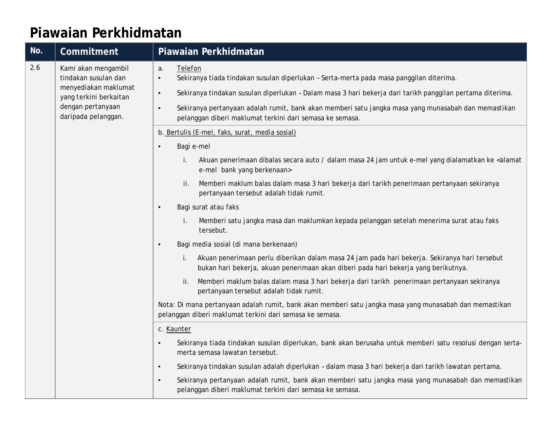| No. | Commitment                                                                                                                                | Piawaian Perkhidmatan                                                                                                                                                                                                                           |
|-----|-------------------------------------------------------------------------------------------------------------------------------------------|-------------------------------------------------------------------------------------------------------------------------------------------------------------------------------------------------------------------------------------------------|
| 2.6 | Kami akan mengambil<br>tindakan susulan dan<br>menyediakan maklumat<br>yang terkini berkaitan<br>dengan pertanyaan<br>daripada pelanggan. | Telefon<br>a.<br>Sekiranya tiada tindakan susulan diperlukan - Serta-merta pada masa panggilan diterima.<br>$\bullet$<br>Sekiranya tindakan susulan diperlukan - Dalam masa 3 hari bekerja dari tarikh panggilan pertama diterima.<br>$\bullet$ |
|     |                                                                                                                                           | Sekiranya pertanyaan adalah rumit, bank akan memberi satu jangka masa yang munasabah dan memastikan<br>$\bullet$<br>pelanggan diberi maklumat terkini dari semasa ke semasa.                                                                    |
|     |                                                                                                                                           | b. Bertulis (E-mel, faks, surat, media sosial)                                                                                                                                                                                                  |
|     |                                                                                                                                           | Bagi e-mel<br>$\bullet$                                                                                                                                                                                                                         |
|     |                                                                                                                                           | Akuan penerimaan dibalas secara auto / dalam masa 24 jam untuk e-mel yang dialamatkan ke <alamat<br>İ.<br/>e-mel bank yang berkenaan&gt;</alamat<br>                                                                                            |
|     |                                                                                                                                           | Memberi maklum balas dalam masa 3 hari bekerja dari tarikh penerimaan pertanyaan sekiranya<br>Ħ.<br>pertanyaan tersebut adalah tidak rumit.                                                                                                     |
|     |                                                                                                                                           | Bagi surat atau faks<br>$\bullet$                                                                                                                                                                                                               |
|     |                                                                                                                                           | Memberi satu jangka masa dan maklumkan kepada pelanggan setelah menerima surat atau faks<br>tersebut.                                                                                                                                           |
|     |                                                                                                                                           | Bagi media sosial (di mana berkenaan)<br>$\bullet$                                                                                                                                                                                              |
|     |                                                                                                                                           | Akuan penerimaan perlu diberikan dalam masa 24 jam pada hari bekerja. Sekiranya hari tersebut<br>bukan hari bekerja, akuan penerimaan akan diberi pada hari bekerja yang berikutnya.                                                            |
|     |                                                                                                                                           | Memberi maklum balas dalam masa 3 hari bekerja dari tarikh penerimaan pertanyaan sekiranya<br>ii.<br>pertanyaan tersebut adalah tidak rumit.                                                                                                    |
|     |                                                                                                                                           | Nota: Di mana pertanyaan adalah rumit, bank akan memberi satu jangka masa yang munasabah dan memastikan<br>pelanggan diberi maklumat terkini dari semasa ke semasa.                                                                             |
|     |                                                                                                                                           | c. Kaunter                                                                                                                                                                                                                                      |
|     |                                                                                                                                           | Sekiranya tiada tindakan susulan diperlukan, bank akan berusaha untuk memberi satu resolusi dengan serta-<br>$\bullet$<br>merta semasa lawatan tersebut.                                                                                        |
|     |                                                                                                                                           | Sekiranya tindakan susulan adalah diperlukan - dalam masa 3 hari bekerja dari tarikh lawatan pertama.<br>$\bullet$                                                                                                                              |
|     |                                                                                                                                           | Sekiranya pertanyaan adalah rumit, bank akan memberi satu jangka masa yang munasabah dan memastikan<br>$\bullet$<br>pelanggan diberi maklumat terkini dari semasa ke semasa.                                                                    |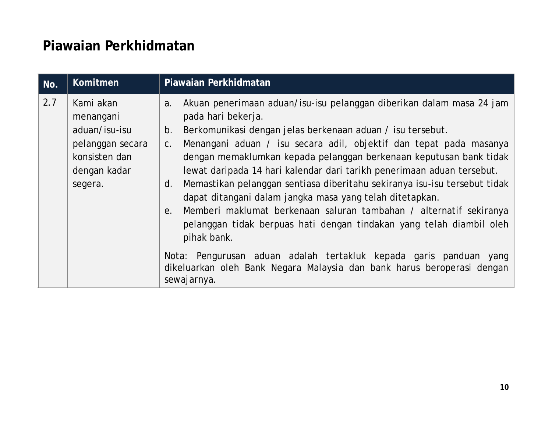| No. | Komitmen                                                                                                | Piawaian Perkhidmatan                                                                                                                                                                                                                                                                                                                                                                                                                                                                                                                                                                                                                                                                                                                                                                                                                                                            |
|-----|---------------------------------------------------------------------------------------------------------|----------------------------------------------------------------------------------------------------------------------------------------------------------------------------------------------------------------------------------------------------------------------------------------------------------------------------------------------------------------------------------------------------------------------------------------------------------------------------------------------------------------------------------------------------------------------------------------------------------------------------------------------------------------------------------------------------------------------------------------------------------------------------------------------------------------------------------------------------------------------------------|
| 2.7 | Kami akan<br>menangani<br>aduan/isu-isu<br>pelanggan secara<br>konsisten dan<br>dengan kadar<br>segera. | Akuan penerimaan aduan/isu-isu pelanggan diberikan dalam masa 24 jam<br>a.<br>pada hari bekerja.<br>Berkomunikasi dengan jelas berkenaan aduan / isu tersebut.<br>b.<br>Menangani aduan / isu secara adil, objektif dan tepat pada masanya<br>C.<br>dengan memaklumkan kepada pelanggan berkenaan keputusan bank tidak<br>lewat daripada 14 hari kalendar dari tarikh penerimaan aduan tersebut.<br>Memastikan pelanggan sentiasa diberitahu sekiranya isu-isu tersebut tidak<br>d.<br>dapat ditangani dalam jangka masa yang telah ditetapkan.<br>Memberi maklumat berkenaan saluran tambahan / alternatif sekiranya<br>е.<br>pelanggan tidak berpuas hati dengan tindakan yang telah diambil oleh<br>pihak bank.<br>Nota: Pengurusan aduan adalah tertakluk kepada garis panduan yang<br>dikeluarkan oleh Bank Negara Malaysia dan bank harus beroperasi dengan<br>sewajarnya. |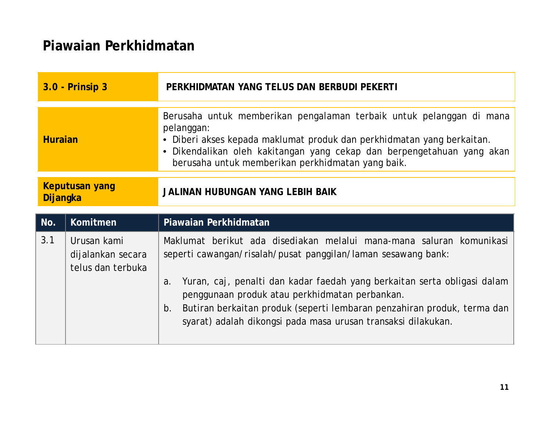| 3.0 - Prinsip 3            |                                                       | PERKHIDMATAN YANG TELUS DAN BERBUDI PEKERTI                                                                                                                                                                                                                                               |
|----------------------------|-------------------------------------------------------|-------------------------------------------------------------------------------------------------------------------------------------------------------------------------------------------------------------------------------------------------------------------------------------------|
| <b>Huraian</b>             |                                                       | Berusaha untuk memberikan pengalaman terbaik untuk pelanggan di mana<br>pelanggan:<br>• Diberi akses kepada maklumat produk dan perkhidmatan yang berkaitan.<br>Dikendalikan oleh kakitangan yang cekap dan berpengetahuan yang akan<br>berusaha untuk memberikan perkhidmatan yang baik. |
| Keputusan yang<br>Dijangka |                                                       | JALINAN HUBUNGAN YANG LEBIH BAIK                                                                                                                                                                                                                                                          |
| No.                        | Komitmen                                              | Piawaian Perkhidmatan                                                                                                                                                                                                                                                                     |
| 3.1                        |                                                       |                                                                                                                                                                                                                                                                                           |
|                            | Urusan kami<br>dijalankan secara<br>telus dan terbuka | Maklumat berikut ada disediakan melalui mana-mana saluran komunikasi<br>seperti cawangan/risalah/pusat panggilan/laman sesawang bank:<br>Yuran, caj, penalti dan kadar faedah yang berkaitan serta obligasi dalam<br>a.<br>penggunaan produk atau perkhidmatan perbankan.                 |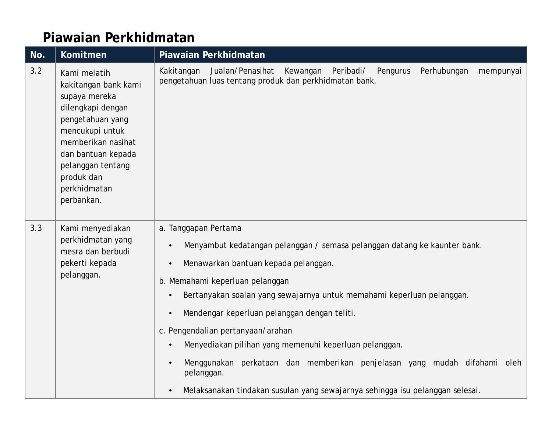| No. | Komitmen                                                                                                                                                                                                                       | Piawaian Perkhidmatan                                                                                                                                                                                                                                                                                                                                                                                                                                                                                                                                                                                                                                                       |
|-----|--------------------------------------------------------------------------------------------------------------------------------------------------------------------------------------------------------------------------------|-----------------------------------------------------------------------------------------------------------------------------------------------------------------------------------------------------------------------------------------------------------------------------------------------------------------------------------------------------------------------------------------------------------------------------------------------------------------------------------------------------------------------------------------------------------------------------------------------------------------------------------------------------------------------------|
| 3.2 | Kami melatih<br>kakitangan bank kami<br>supaya mereka<br>dilengkapi dengan<br>pengetahuan yang<br>mencukupi untuk<br>memberikan nasihat<br>dan bantuan kepada<br>pelanggan tentang<br>produk dan<br>perkhidmatan<br>perbankan. | Jualan/Penasihat<br>Kakitangan<br>Kewangan<br>Peribadi/<br>Pengurus<br>Perhubungan<br>mempunyai<br>pengetahuan luas tentang produk dan perkhidmatan bank.                                                                                                                                                                                                                                                                                                                                                                                                                                                                                                                   |
| 3.3 | Kami menyediakan<br>perkhidmatan yang<br>mesra dan berbudi<br>pekerti kepada<br>pelanggan.                                                                                                                                     | a. Tanggapan Pertama<br>Menyambut kedatangan pelanggan / semasa pelanggan datang ke kaunter bank.<br>$\bullet$<br>Menawarkan bantuan kepada pelanggan.<br>$\bullet$<br>b. Memahami keperluan pelanggan<br>Bertanyakan soalan yang sewajarnya untuk memahami keperluan pelanggan.<br>$\bullet$<br>Mendengar keperluan pelanggan dengan teliti.<br>$\bullet$<br>c. Pengendalian pertanyaan/arahan<br>Menyediakan pilihan yang memenuhi keperluan pelanggan.<br>$\bullet$<br>Menggunakan perkataan dan memberikan penjelasan yang mudah difahami oleh<br>$\bullet$<br>pelanggan.<br>Melaksanakan tindakan susulan yang sewajarnya sehingga isu pelanggan selesai.<br>$\bullet$ |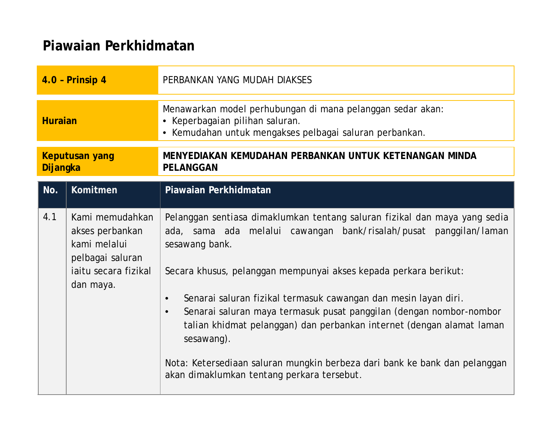| $4.0$ - Prinsip 4                 |                                                                                                             | PERBANKAN YANG MUDAH DIAKSES                                                                                                                                                                                                                                                                                                                                                                                                                                                                                                                                                                                                 |
|-----------------------------------|-------------------------------------------------------------------------------------------------------------|------------------------------------------------------------------------------------------------------------------------------------------------------------------------------------------------------------------------------------------------------------------------------------------------------------------------------------------------------------------------------------------------------------------------------------------------------------------------------------------------------------------------------------------------------------------------------------------------------------------------------|
| <b>Huraian</b>                    |                                                                                                             | Menawarkan model perhubungan di mana pelanggan sedar akan:<br>Keperbagaian pilihan saluran.<br>$\bullet$<br>• Kemudahan untuk mengakses pelbagai saluran perbankan.                                                                                                                                                                                                                                                                                                                                                                                                                                                          |
| <b>Keputusan yang</b><br>Dijangka |                                                                                                             | MENYEDIAKAN KEMUDAHAN PERBANKAN UNTUK KETENANGAN MINDA<br>PELANGGAN                                                                                                                                                                                                                                                                                                                                                                                                                                                                                                                                                          |
| No.                               | Komitmen                                                                                                    | Piawaian Perkhidmatan                                                                                                                                                                                                                                                                                                                                                                                                                                                                                                                                                                                                        |
| 4.1                               | Kami memudahkan<br>akses perbankan<br>kami melalui<br>pelbagai saluran<br>iaitu secara fizikal<br>dan maya. | Pelanggan sentiasa dimaklumkan tentang saluran fizikal dan maya yang sedia<br>ada, sama ada melalui cawangan bank/risalah/pusat panggilan/laman<br>sesawang bank.<br>Secara khusus, pelanggan mempunyai akses kepada perkara berikut:<br>Senarai saluran fizikal termasuk cawangan dan mesin layan diri.<br>$\bullet$<br>Senarai saluran maya termasuk pusat panggilan (dengan nombor-nombor<br>$\bullet$<br>talian khidmat pelanggan) dan perbankan internet (dengan alamat laman<br>sesawang).<br>Nota: Ketersediaan saluran mungkin berbeza dari bank ke bank dan pelanggan<br>akan dimaklumkan tentang perkara tersebut. |